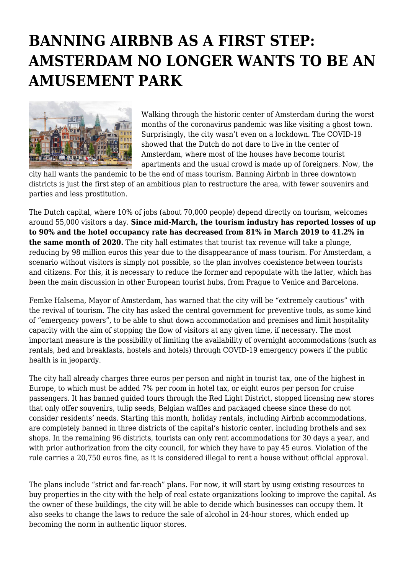## **BANNING AIRBNB AS A FIRST STEP: AMSTERDAM NO LONGER WANTS TO BE AN AMUSEMENT PARK**



Walking through the historic center of Amsterdam during the worst months of the coronavirus pandemic was like visiting a ghost town. Surprisingly, the city wasn't even on a lockdown. The COVID-19 showed that the Dutch do not dare to live in the center of Amsterdam, where most of the houses have become tourist apartments and the usual crowd is made up of foreigners. Now, the

city hall wants the pandemic to be the end of mass tourism. Banning Airbnb in three downtown districts is just the first step of an ambitious plan to restructure the area, with fewer souvenirs and parties and less prostitution.

The Dutch capital, where 10% of jobs (about 70,000 people) depend directly on tourism, welcomes around 55,000 visitors a day. **Since mid-March, the tourism industry has reported losses of up to 90% and the hotel occupancy rate has decreased from 81% in March 2019 to 41.2% in the same month of 2020.** The city hall estimates that tourist tax revenue will take a plunge, reducing by 98 million euros this year due to the disappearance of mass tourism. For Amsterdam, a scenario without visitors is simply not possible, so the plan involves coexistence between tourists and citizens. For this, it is necessary to reduce the former and repopulate with the latter, which has been the main discussion in other European tourist hubs, from Prague to Venice and Barcelona.

Femke Halsema, Mayor of Amsterdam, has warned that the city will be "extremely cautious" with the revival of tourism. The city has asked the central government for preventive tools, as some kind of "emergency powers", to be able to shut down accommodation and premises and limit hospitality capacity with the aim of stopping the flow of visitors at any given time, if necessary. The most important measure is the possibility of limiting the availability of overnight accommodations (such as rentals, bed and breakfasts, hostels and hotels) through COVID-19 emergency powers if the public health is in jeopardy.

The city hall already charges three euros per person and night in tourist tax, one of the highest in Europe, to which must be added 7% per room in hotel tax, or eight euros per person for cruise passengers. It has banned guided tours through the Red Light District, stopped licensing new stores that only offer souvenirs, tulip seeds, Belgian waffles and packaged cheese since these do not consider residents' needs. Starting this month, holiday rentals, including Airbnb accommodations, are completely banned in three districts of the capital's historic center, including brothels and sex shops. In the remaining 96 districts, tourists can only rent accommodations for 30 days a year, and with prior authorization from the city council, for which they have to pay 45 euros. Violation of the rule carries a 20,750 euros fine, as it is considered illegal to rent a house without official approval.

The plans include "strict and far-reach" plans. For now, it will start by using existing resources to buy properties in the city with the help of real estate organizations looking to improve the capital. As the owner of these buildings, the city will be able to decide which businesses can occupy them. It also seeks to change the laws to reduce the sale of alcohol in 24-hour stores, which ended up becoming the norm in authentic liquor stores.